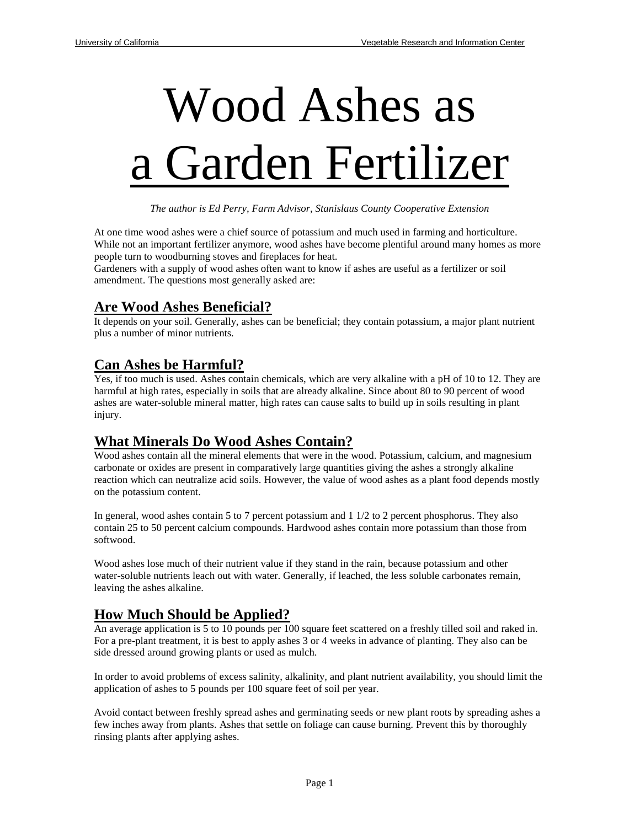# Wood Ashes as a Garden Fertilizer

*The author is Ed Perry, Farm Advisor, Stanislaus County Cooperative Extension* 

At one time wood ashes were a chief source of potassium and much used in farming and horticulture. While not an important fertilizer anymore, wood ashes have become plentiful around many homes as more people turn to woodburning stoves and fireplaces for heat.

Gardeners with a supply of wood ashes often want to know if ashes are useful as a fertilizer or soil amendment. The questions most generally asked are:

#### **Are Wood Ashes Beneficial?**

It depends on your soil. Generally, ashes can be beneficial; they contain potassium, a major plant nutrient plus a number of minor nutrients.

#### **Can Ashes be Harmful?**

Yes, if too much is used. Ashes contain chemicals, which are very alkaline with a pH of 10 to 12. They are harmful at high rates, especially in soils that are already alkaline. Since about 80 to 90 percent of wood ashes are water-soluble mineral matter, high rates can cause salts to build up in soils resulting in plant injury.

## **What Minerals Do Wood Ashes Contain?**

Wood ashes contain all the mineral elements that were in the wood. Potassium, calcium, and magnesium carbonate or oxides are present in comparatively large quantities giving the ashes a strongly alkaline reaction which can neutralize acid soils. However, the value of wood ashes as a plant food depends mostly on the potassium content.

In general, wood ashes contain 5 to 7 percent potassium and 1 1/2 to 2 percent phosphorus. They also contain 25 to 50 percent calcium compounds. Hardwood ashes contain more potassium than those from softwood.

Wood ashes lose much of their nutrient value if they stand in the rain, because potassium and other water-soluble nutrients leach out with water. Generally, if leached, the less soluble carbonates remain, leaving the ashes alkaline.

## **How Much Should be Applied?**

An average application is 5 to 10 pounds per 100 square feet scattered on a freshly tilled soil and raked in. For a pre-plant treatment, it is best to apply ashes 3 or 4 weeks in advance of planting. They also can be side dressed around growing plants or used as mulch.

In order to avoid problems of excess salinity, alkalinity, and plant nutrient availability, you should limit the application of ashes to 5 pounds per 100 square feet of soil per year.

Avoid contact between freshly spread ashes and germinating seeds or new plant roots by spreading ashes a few inches away from plants. Ashes that settle on foliage can cause burning. Prevent this by thoroughly rinsing plants after applying ashes.